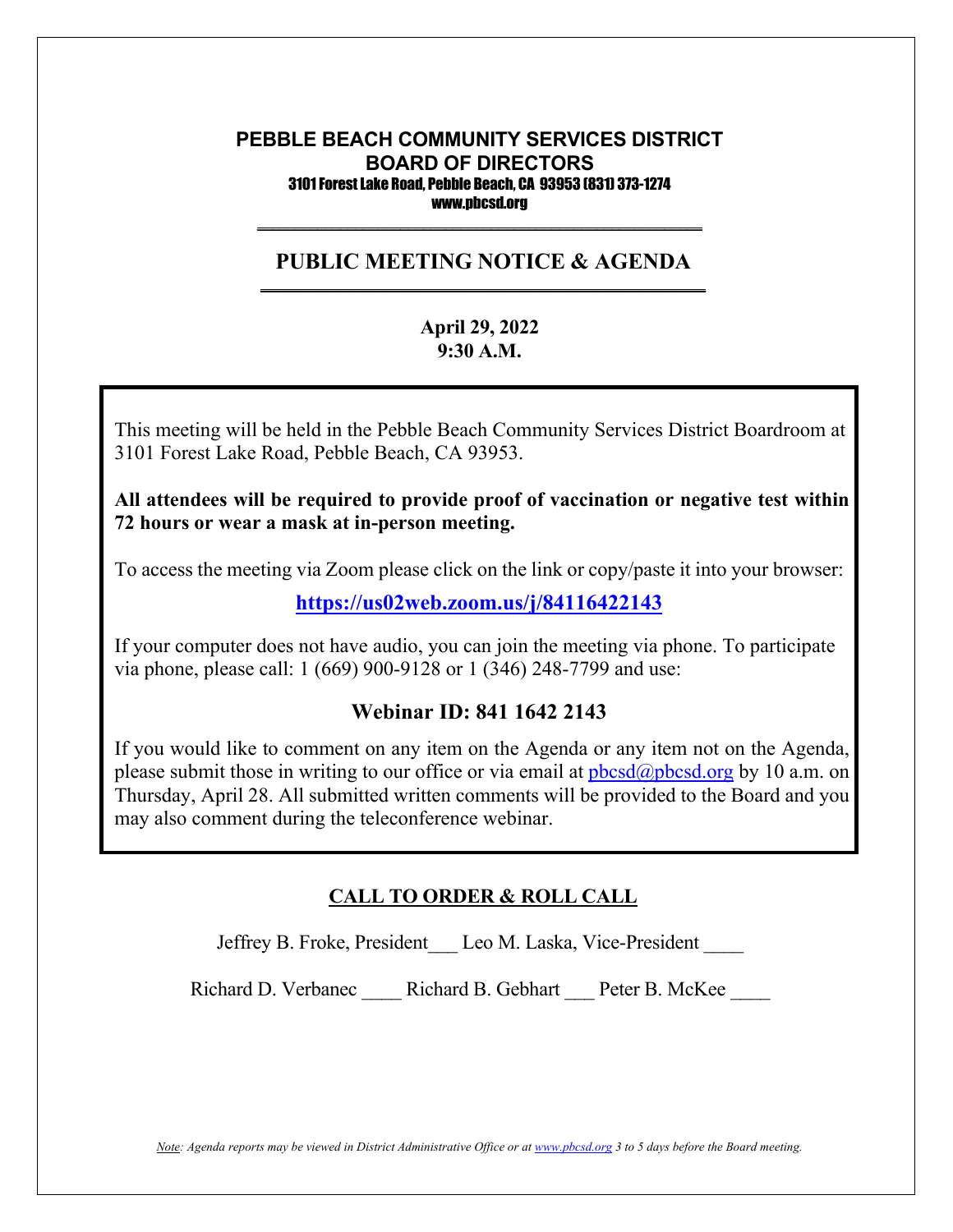#### **PEBBLE BEACH COMMUNITY SERVICES DISTRICT BOARD OF DIRECTORS** 3101 Forest Lake Road, Pebble Beach, CA 93953 (831) 373-1274 www.pbcsd.org

#### **PUBLIC MEETING NOTICE & AGENDA \_\_\_\_\_\_\_\_\_\_\_\_\_\_\_\_\_\_\_\_\_\_\_\_\_\_\_\_\_\_\_\_\_\_\_\_\_\_\_\_\_\_\_\_\_\_\_\_\_\_\_\_\_\_\_\_\_\_\_**

 $\overline{\phantom{a}}$  , and the contract of the contract of the contract of the contract of the contract of the contract of the contract of the contract of the contract of the contract of the contract of the contract of the contrac

### **April 29, 2022 9:30 A.M.**

**COVID-19 Pandemic and State of California Executive Order N-29-20** 3101 Forest Lake Road, Pebble Beach, CA 93953. This meeting will be held in the Pebble Beach Community Services District Boardroom at

 $\mathbf{r}$  to  $\mathbf{r}$  safety  $\mathbf{r}$  safety District (PBCSD) will conduct its  $\mathbf{r}$ All attendees will be required to provide proof of vaccination or negative test within  $\overline{\phantom{a}}$ **72 hours or wear a mask at in-person meeting.**

Access information will be provided in the final agenda at least three days prior to the To access the meeting via Zoom please click on the link or copy/paste it into your browser:

**<https://us02web.zoom.us/j/84116422143>**

If your computer does not have audio, you can join the meeting via phone. To participate via phone, please call: 1 (669) 900-9128 or 1 (346) 248-7799 and use:

### **Webinar ID: 841 1642 2143**

If you would like to comment on any item on the Agenda or any item not on the Agenda, please submit those in writing to our office or via email at  $pbcsd(\omega pbcsd.org$  by 10 a.m. on Thursday, April 28. All submitted written comments will be provided to the Board and you may also comment during the teleconference webinar.

# **CALL TO ORDER & ROLL CALL**

Jeffrey B. Froke, President Leo M. Laska, Vice-President \_\_\_\_

Richard D. Verbanec \_\_\_\_ Richard B. Gebhart \_\_\_ Peter B. McKee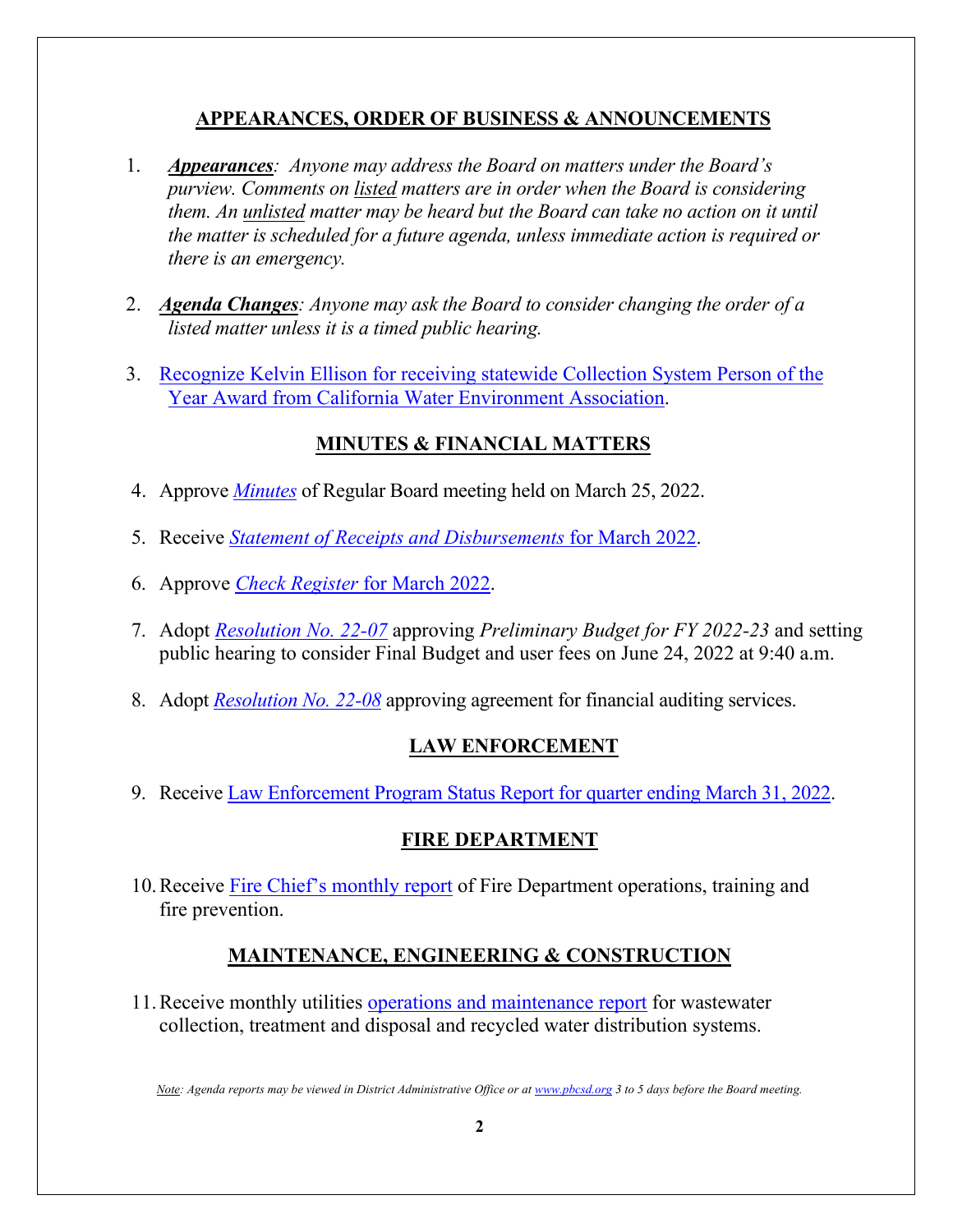### **APPEARANCES, ORDER OF BUSINESS & ANNOUNCEMENTS**

- 1. *Appearances: Anyone may address the Board on matters under the Board's purview. Comments on listed matters are in order when the Board is considering them. An unlisted matter may be heard but the Board can take no action on it until the matter is scheduled for a future agenda, unless immediate action is required or there is an emergency.*
- 2. *Agenda Changes: Anyone may ask the Board to consider changing the order of a listed matter unless it is a timed public hearing.*
- 3. Recognize Kelvin Ellison for [receiving statewide Collection System Person of the](https://pbcsd.org/wp-content/uploads/2022/04/03.-Kelvin-Ellison-CWEA-Collections-System-Person-of-the-Year-Award.pdf)  [Year Award from California Water Environment Association.](https://pbcsd.org/wp-content/uploads/2022/04/03.-Kelvin-Ellison-CWEA-Collections-System-Person-of-the-Year-Award.pdf)

# **MINUTES & FINANCIAL MATTERS**

- 4. Approve *[Minutes](https://pbcsd.org/wp-content/uploads/2022/04/04.-PBCSD-Draft-minutes-for-March-25-2022-Board-Meeting.pdf)* of Regular Board meeting held on March 25, 2022.
- 5. Receive *[Statement of Receipts and Disbursements](https://pbcsd.org/wp-content/uploads/2022/04/05.-Statement-of-Receipts-Disbursements-for-March-2022.pdf)* for March 2022.
- 6. Approve *[Check Register](https://pbcsd.org/wp-content/uploads/2022/04/06.-Check-Register-for-March-2022.pdf)* for March 2022.
- 7. Adopt *[Resolution No. 22-07](https://pbcsd.org/wp-content/uploads/2022/04/07.-RES-22-07-Fiscal-Year-2022-23-Preliminary-Budget.pdf)* approving *Preliminary Budget for FY 2022-23* and setting public hearing to consider Final Budget and user fees on June 24, 2022 at 9:40 a.m.
- 8. Adopt *[Resolution No. 22-08](https://pbcsd.org/wp-content/uploads/2022/04/08.-RES-22-08-Approving-Agreement-for-Financial-Auditing-Services.pdf)* approving agreement for financial auditing services.

# **LAW ENFORCEMENT**

9. Receive [Law Enforcement Program Status Report for quarter ending March 31, 2022.](https://pbcsd.org/wp-content/uploads/2022/04/09.-Law-Enforcement-Program-Status-Report-for-Quarter-Ending-March-31-2022.pdf)

### **FIRE DEPARTMENT**

10.Receive [Fire Chief's monthly report](https://pbcsd.org/wp-content/uploads/2022/04/10.-Fire-Chiefs-Monthly-Report.pdf) of Fire Department operations, training and fire prevention.

# **MAINTENANCE, ENGINEERING & CONSTRUCTION**

11.Receive monthly utilities [operations and maintenance report](https://pbcsd.org/wp-content/uploads/2022/04/11.-Operations-Maintenance-Report.pdf) for wastewater collection, treatment and disposal and recycled water distribution systems.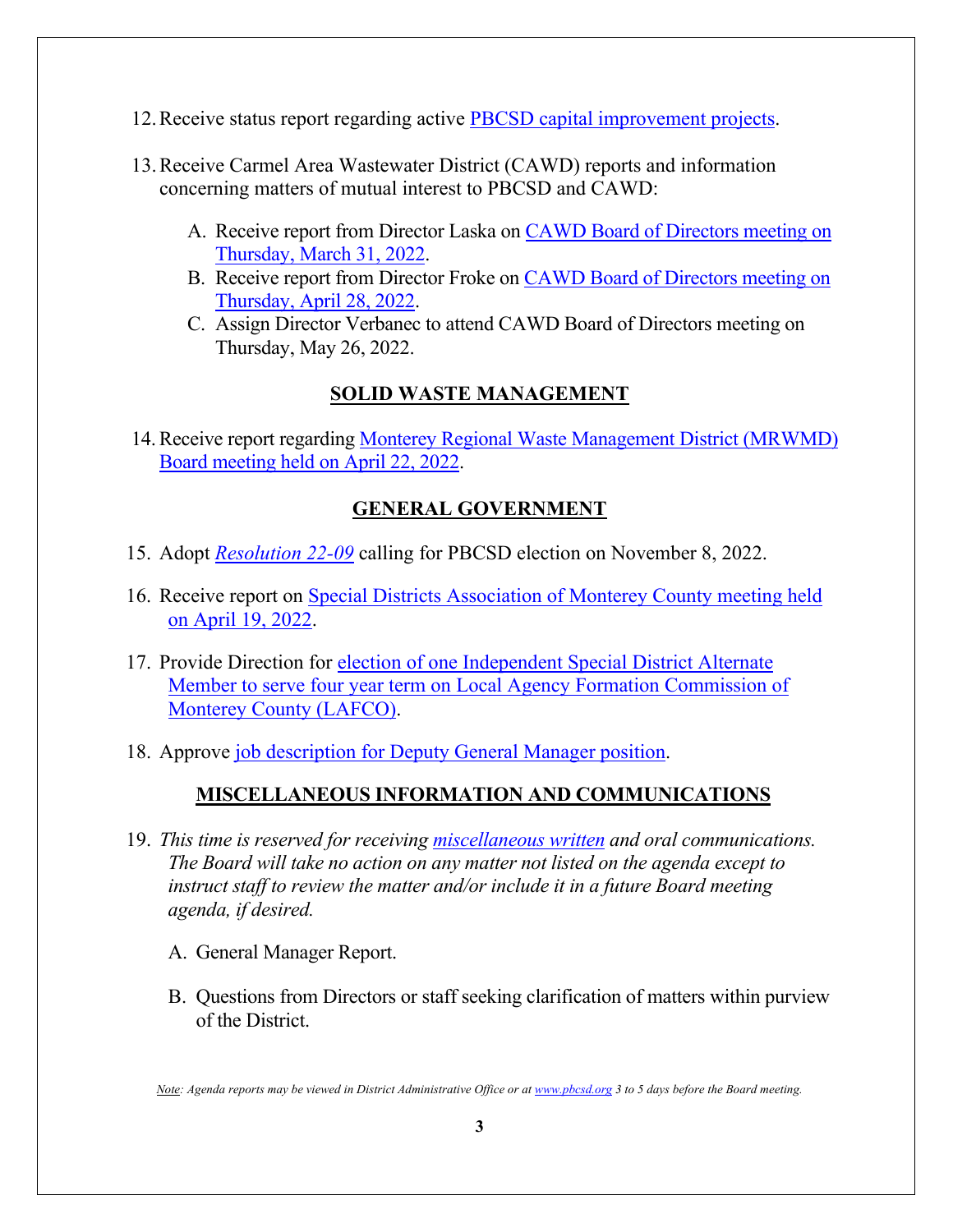- 12.Receive status report regarding active [PBCSD capital improvement projects.](https://pbcsd.org/wp-content/uploads/2022/04/12.-Capital-Improvement-Projects-Report.pdf)
- 13.Receive Carmel Area Wastewater District (CAWD) reports and information concerning matters of mutual interest to PBCSD and CAWD:
	- A. Receive report from Director Laska on [CAWD Board of Directors meeting on](https://pbcsd.org/wp-content/uploads/2022/04/13a.-CAWD-Board-Agenda-Packet-for-March-31-2022-Meeting.pdf) [Thursday, March 31, 2022.](https://pbcsd.org/wp-content/uploads/2022/04/13a.-CAWD-Board-Agenda-Packet-for-March-31-2022-Meeting.pdf)
	- B. Receive report from Director Froke on [CAWD Board of Directors meeting on](https://pbcsd.org/wp-content/uploads/2022/04/13b.-CAWD-Board-Agenda-Packet-for-April-28-2022-Meeting.pdf) [Thursday, April 28, 2022.](https://pbcsd.org/wp-content/uploads/2022/04/13b.-CAWD-Board-Agenda-Packet-for-April-28-2022-Meeting.pdf)
	- C. Assign Director Verbanec to attend CAWD Board of Directors meeting on Thursday, May 26, 2022.

### **SOLID WASTE MANAGEMENT**

14. Receive report regarding Monterey Regional Waste Management District (MRWMD) [Board meeting](https://pbcsd.org/wp-content/uploads/2022/04/14.-MRWMD-Board-Meeting-Agenda-GM-Report-for-April-22-2022.pdf) held on April 22, 2022.

### **GENERAL GOVERNMENT**

- 15. Adopt *[Resolution 22-09](https://pbcsd.org/wp-content/uploads/2022/04/15.-RES-22-09-Calling-Nov-2022-Election.pdf)* calling for PBCSD election on November 8, 2022.
- 16. Receive report on [Special Districts Association of Monterey County](https://pbcsd.org/wp-content/uploads/2022/04/16.-Special-Districts-Association-Monterey-County-Meeting-on-April-18-2022.pdf) meeting held [on April 19, 2022.](https://pbcsd.org/wp-content/uploads/2022/04/16.-Special-Districts-Association-Monterey-County-Meeting-on-April-18-2022.pdf)
- 17. Provide Direction for [election of one Independent Special District Alternate](https://pbcsd.org/wp-content/uploads/2022/04/17.-Independent-Special-District-Voting-Packet-Alternate.pdf) [Member to serve four year term on Local Agency Formation Commission of](https://pbcsd.org/wp-content/uploads/2022/04/17.-Independent-Special-District-Voting-Packet-Alternate.pdf)  [Monterey County \(LAFCO\).](https://pbcsd.org/wp-content/uploads/2022/04/17.-Independent-Special-District-Voting-Packet-Alternate.pdf)
- 18. Approve [job description for Deputy General Manager position.](https://pbcsd.org/wp-content/uploads/2022/04/18.-Deputy-General-Manager-Job-Description.pdf)

### **MISCELLANEOUS INFORMATION AND COMMUNICATIONS**

- 19. *This time is reserved for receiving [miscellaneous written](https://pbcsd.org/wp-content/uploads/2022/04/19.-2022_Spring_Summer_Newsletter.pdf) and oral communications. The Board will take no action on any matter not listed on the agenda except to instruct staff to review the matter and/or include it in a future Board meeting agenda, if desired.*
	- A. General Manager Report.
	- B. Questions from Directors or staff seeking clarification of matters within purview of the District.